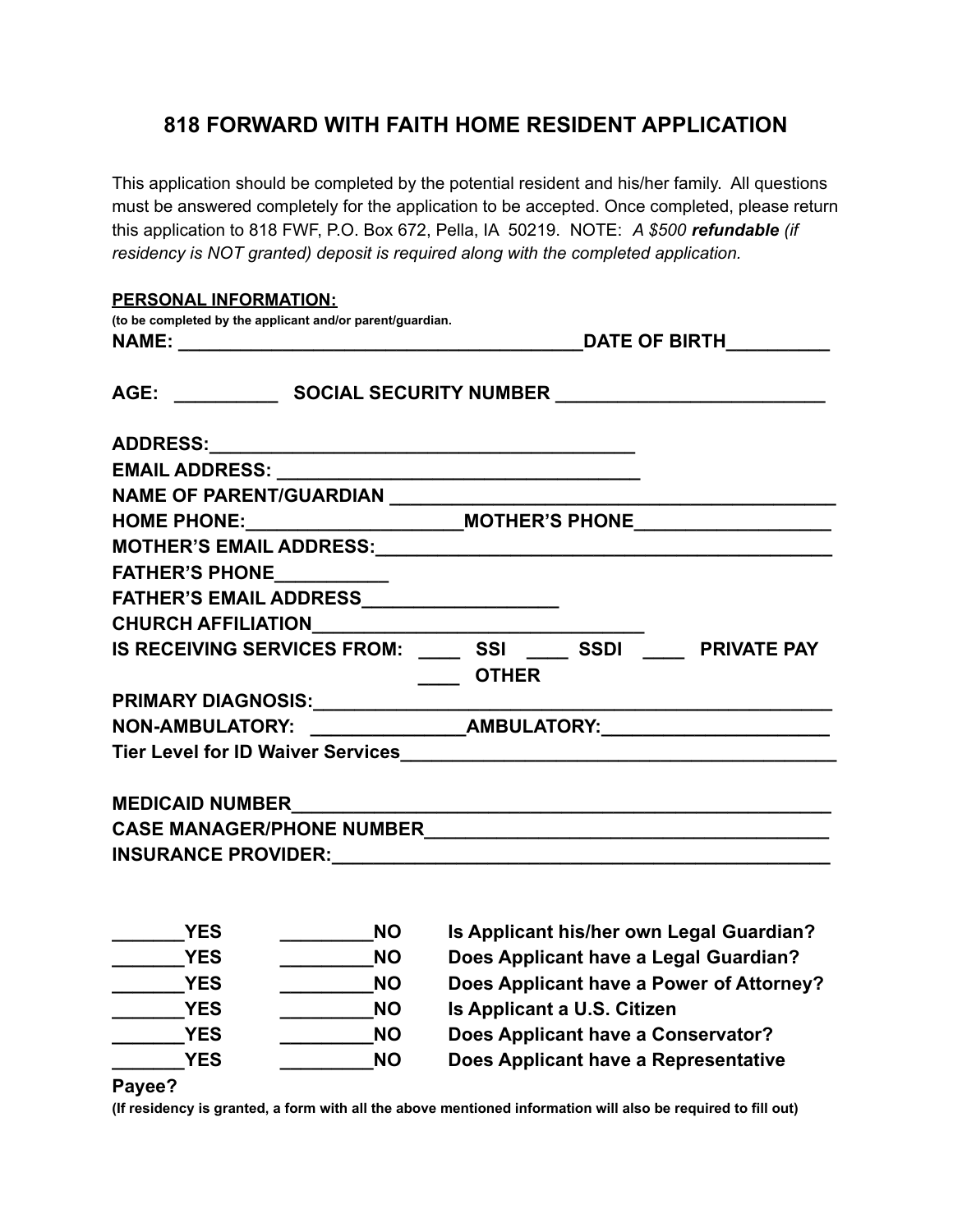## **818 FORWARD WITH FAITH HOME RESIDENT APPLICATION**

This application should be completed by the potential resident and his/her family. All questions must be answered completely for the application to be accepted. Once completed, please return this application to 818 FWF, P.O. Box 672, Pella, IA 50219. NOTE: *A \$500 refundable (if residency is NOT granted) deposit is required along with the completed application.*

| <b>PERSONAL INFORMATION:</b>                                                                                    |              |  |
|-----------------------------------------------------------------------------------------------------------------|--------------|--|
| (to be completed by the applicant and/or parent/guardian.                                                       |              |  |
|                                                                                                                 |              |  |
|                                                                                                                 |              |  |
|                                                                                                                 |              |  |
|                                                                                                                 |              |  |
|                                                                                                                 |              |  |
|                                                                                                                 |              |  |
| HOME PHONE:___________________________MOTHER'S PHONE____________________________                                |              |  |
|                                                                                                                 |              |  |
| FATHER'S PHONE___________                                                                                       |              |  |
| FATHER'S EMAIL ADDRESS___________________                                                                       |              |  |
| CHURCH AFFILIATIONNALLA CHURCH AFFILIATION                                                                      |              |  |
| IS RECEIVING SERVICES FROM: SSI SSDI PRIVATE PAY                                                                |              |  |
|                                                                                                                 | <b>OTHER</b> |  |
|                                                                                                                 |              |  |
| NON-AMBULATORY: ___________________AMBULATORY:__________________________________                                |              |  |
| Tier Level for ID Waiver Services Manual According to the U.S. And The U.S. And The U.S. And The U.S. And The U |              |  |
|                                                                                                                 |              |  |
|                                                                                                                 |              |  |
|                                                                                                                 |              |  |
|                                                                                                                 |              |  |
|                                                                                                                 |              |  |

| <b>YES</b> | <b>NO</b> |  |
|------------|-----------|--|
| <b>YES</b> | <b>NO</b> |  |
| <b>YES</b> | <b>NO</b> |  |
| <b>YES</b> | <b>NO</b> |  |
| <b>YES</b> | <b>NO</b> |  |
| YES        | <b>NO</b> |  |
|            |           |  |

**\_\_\_\_\_\_\_YES \_\_\_\_\_\_\_\_\_NO Is Applicant his/her own Legal Guardian? \_\_\_\_\_\_\_YES \_\_\_\_\_\_\_\_\_NO Does Applicant have a Legal Guardian? \_\_\_\_\_\_\_YES \_\_\_\_\_\_\_\_\_NO Does Applicant have a Power of Attorney? \_\_\_\_\_\_\_YES \_\_\_\_\_\_\_\_\_NO Is Applicant a U.S. Citizen \_\_\_\_\_\_\_YES \_\_\_\_\_\_\_\_\_NO Does Applicant have a Conservator? \_\_\_\_\_\_\_YES \_\_\_\_\_\_\_\_\_NO Does Applicant have a Representative**

#### **Payee?**

**(If residency is granted, a form with all the above mentioned information will also be required to fill out)**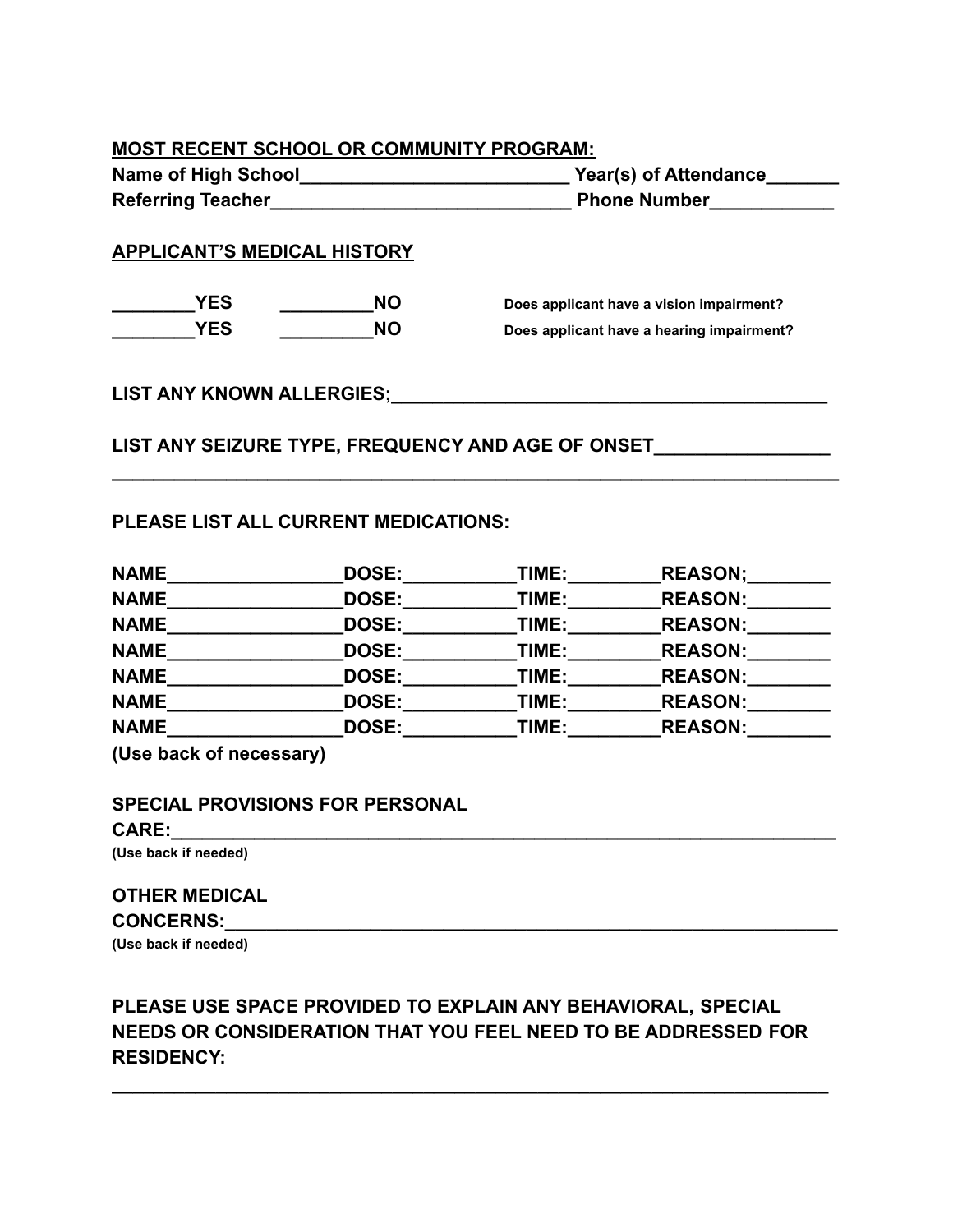#### **MOST RECENT SCHOOL OR COMMUNITY PROGRAM:**

| <b>Name of High School</b> | Year(s) of Attendance |
|----------------------------|-----------------------|
| <b>Referring Teacher</b>   | <b>Phone Number</b>   |

#### **APPLICANT'S MEDICAL HISTORY**

| YES | NΟ |
|-----|----|
| YES | ΝO |

**\_\_\_\_\_\_\_\_YES \_\_\_\_\_\_\_\_\_NO Does applicant have a vision impairment? \_\_\_\_\_\_\_\_YES \_\_\_\_\_\_\_\_\_NO Does applicant have a hearing impairment?**

#### LIST ANY KNOWN ALLERGIES; **with a set of the set of the set of the set of the set of the set of the set of the set of the set of the set of the set of the set of the set of the set of the set of the set of the set of the s**

LIST ANY SEIZURE TYPE, FREQUENCY AND AGE OF ONSET

#### **PLEASE LIST ALL CURRENT MEDICATIONS:**

| <b>NAME</b> | <b>DOSE:</b> | TIME: | <b>REASON;</b> |
|-------------|--------------|-------|----------------|
| <b>NAME</b> | <b>DOSE:</b> | TIME: | <b>REASON:</b> |
| <b>NAME</b> | <b>DOSE:</b> | TIME: | <b>REASON:</b> |
| <b>NAME</b> | <b>DOSE:</b> | TIME: | <b>REASON:</b> |
| <b>NAME</b> | <b>DOSE:</b> | TIME: | <b>REASON:</b> |
| <b>NAME</b> | <b>DOSE:</b> | TIME: | <b>REASON:</b> |
| <b>NAME</b> | DOSE:        | TIME: | <b>REASON:</b> |

**\_\_\_\_\_\_\_\_\_\_\_\_\_\_\_\_\_\_\_\_\_\_\_\_\_\_\_\_\_\_\_\_\_\_\_\_\_\_\_\_\_\_\_\_\_\_\_\_\_\_\_\_\_\_\_\_\_\_\_\_\_\_\_\_\_\_\_\_\_\_**

**(Use back of necessary)**

#### **SPECIAL PROVISIONS FOR PERSONAL**

| <b>CARE:</b> |  |
|--------------|--|
|              |  |

**(Use back if needed)**

## **OTHER MEDICAL**

**CONCERNS:\_\_\_\_\_\_\_\_\_\_\_\_\_\_\_\_\_\_\_\_\_\_\_\_\_\_\_\_\_\_\_\_\_\_\_\_\_\_\_\_\_\_\_\_\_\_\_\_\_\_\_\_\_\_\_\_\_\_\_**

**(Use back if needed)**

### **PLEASE USE SPACE PROVIDED TO EXPLAIN ANY BEHAVIORAL, SPECIAL NEEDS OR CONSIDERATION THAT YOU FEEL NEED TO BE ADDRESSED FOR RESIDENCY:**

**\_\_\_\_\_\_\_\_\_\_\_\_\_\_\_\_\_\_\_\_\_\_\_\_\_\_\_\_\_\_\_\_\_\_\_\_\_\_\_\_\_\_\_\_\_\_\_\_\_\_\_\_\_\_\_\_\_\_\_\_\_\_\_\_\_\_\_\_\_**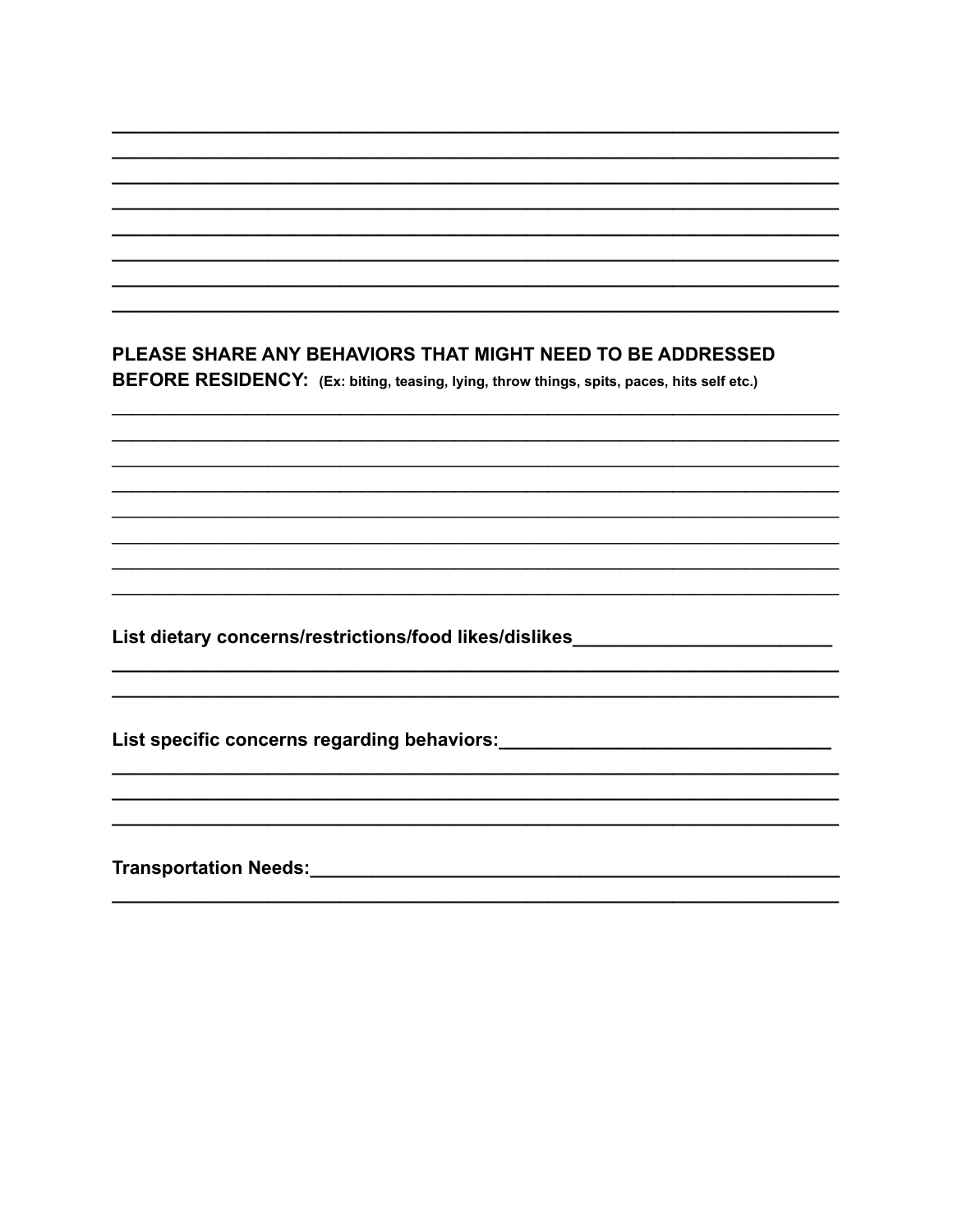# PLEASE SHARE ANY BEHAVIORS THAT MIGHT NEED TO BE ADDRESSED

BEFORE RESIDENCY: (Ex: biting, teasing, lying, throw things, spits, paces, hits self etc.)

List dietary concerns/restrictions/food likes/dislikes\_\_\_\_\_\_\_\_\_\_\_\_\_\_\_\_\_\_\_\_\_\_\_\_\_\_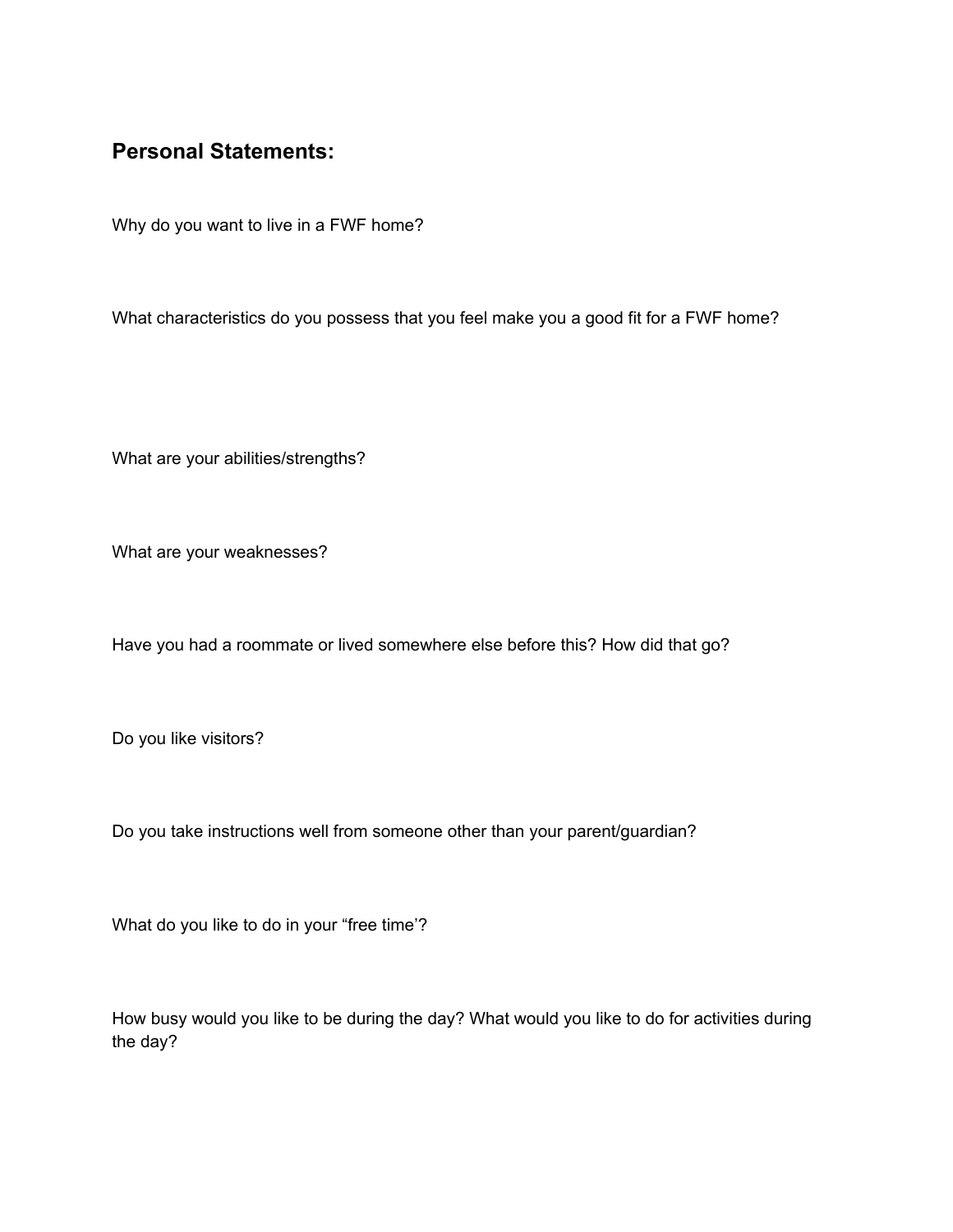### **Personal Statements:**

Why do you want to live in a FWF home?

What characteristics do you possess that you feel make you a good fit for a FWF home?

What are your abilities/strengths?

What are your weaknesses?

Have you had a roommate or lived somewhere else before this? How did that go?

Do you like visitors?

Do you take instructions well from someone other than your parent/guardian?

What do you like to do in your "free time'?

How busy would you like to be during the day? What would you like to do for activities during the day?